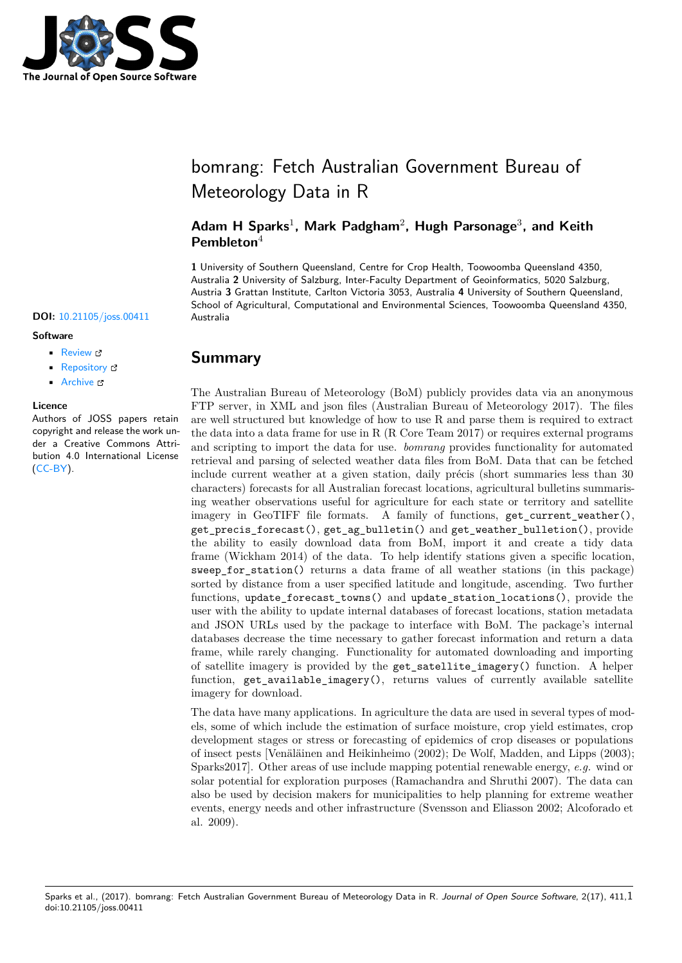

# bomrang: Fetch Australian Government Bureau of Meteorology Data in R

**Adam H Sparks**<sup>1</sup> **, Mark Padgham**<sup>2</sup> **, Hugh Parsonage**<sup>3</sup> **, and Keith Pembleton**<sup>4</sup>

**1** University of Southern Queensland, Centre for Crop Health, Toowoomba Queensland 4350, Australia **2** University of Salzburg, Inter-Faculty Department of Geoinformatics, 5020 Salzburg, Austria **3** Grattan Institute, Carlton Victoria 3053, Australia **4** University of Southern Queensland, School of Agricultural, Computational and Environmental Sciences, Toowoomba Queensland 4350,

#### **DOI:** 10.21105/joss.00411 Australia

#### **Software**

- Review &
- [Repository](https://doi.org/10.21105/joss.00411) &
- Archive

#### **Licence**

Autho[rs of JOSS](https://github.com/ropensci/bomrang) papers retain copyright and release the work under a [Creativ](http://dx.doi.org/10.5281/zenodo.897183)e Commons Attribution 4.0 International License (CC-BY).

### **Summary**

The Australian Bureau of Meteorology (BoM) publicly provides data via an anonymous FTP server, in XML and json files (Australian Bureau of Meteorology 2017). The files are well structured but knowledge of how to use R and parse them is required to extract the data into a data frame for use in R (R Core Team 2017) or requires external programs and scripting to import the data for use. *bomrang* provides functionality for automated retrieval and parsing of selected weather data files from BoM. Data that can be fetched include current weather at a given station, daily précis (short summaries less than 30 characters) forecasts for all Australian forecast locations, agricultural bulletins summarising weather observations useful for agriculture for each state or territory and satellite imagery in GeoTIFF file formats. A family of functions, get\_current\_weather(), get\_precis\_forecast(), get\_ag\_bulletin() and get\_weather\_bulletion(), provide the ability to easily download data from BoM, import it and create a tidy data frame (Wickham 2014) of the data. To help identify stations given a specific location, sweep for station() returns a data frame of all weather stations (in this package) sorted by distance from a user specified latitude and longitude, ascending. Two further functions, update\_forecast\_towns() and update\_station\_locations(), provide the user with the ability to update internal databases of forecast locations, station metadata and JSON URLs used by the package to interface with BoM. The package's internal databases decrease the time necessary to gather forecast information and return a data frame, while rarely changing. Functionality for automated downloading and importing of satellite imagery is provided by the get\_satellite\_imagery() function. A helper function, get\_available\_imagery(), returns values of currently available satellite imagery for download.

The data have many applications. In agriculture the data are used in several types of models, some of which include the estimation of surface moisture, crop yield estimates, crop development stages or stress or forecasting of epidemics of crop diseases or populations of insect pests [Venäläinen and Heikinheimo (2002); De Wolf, Madden, and Lipps (2003); Sparks2017]. Other areas of use include mapping potential renewable energy, *e.g.* wind or solar potential for exploration purposes (Ramachandra and Shruthi 2007). The data can also be used by decision makers for municipalities to help planning for extreme weather events, energy needs and other infrastructure (Svensson and Eliasson 2002; Alcoforado et al. 2009).

Sparks et al., (2017). bomrang: Fetch Australian Government Bureau of Meteorology Data in R. *Journal of Open Source Software*, 2(17), 411, 1doi:10.21105/joss.00411